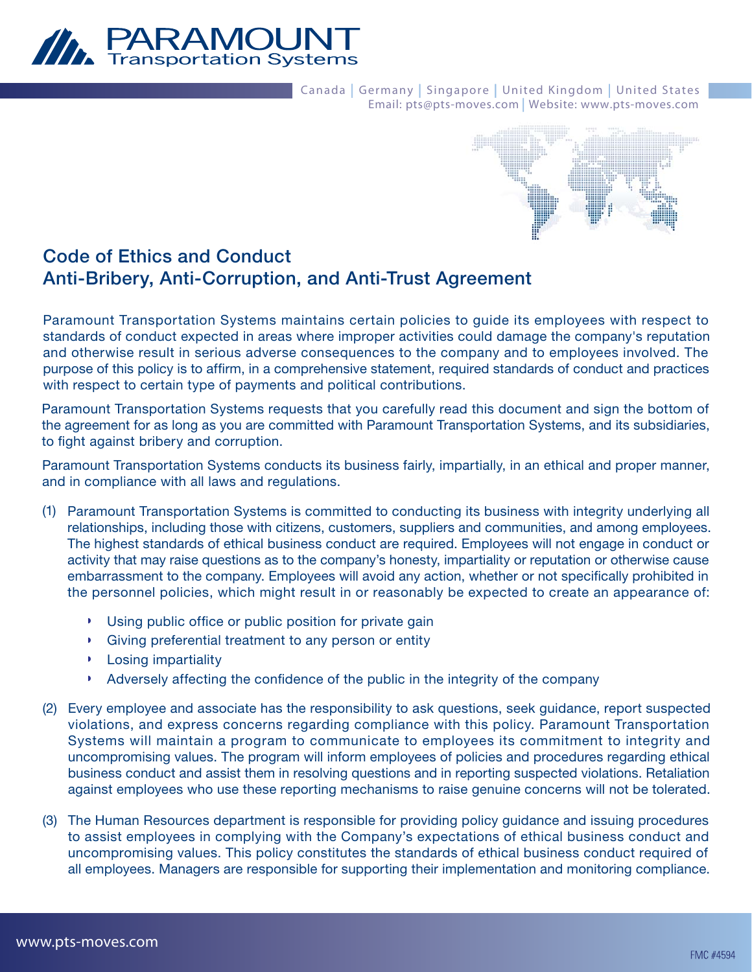

Canada | Germany | Singapore | United Kingdom | United States Email: pts@pts-moves.com | Website: www.pts-moves.com



# **Code of Ethics and Conduct Anti-Bribery, Anti-Corruption, and Anti-Trust Agreement**

Paramount Transportation Systems maintains certain policies to guide its employees with respect to standards of conduct expected in areas where improper activities could damage the company's reputation and otherwise result in serious adverse consequences to the company and to employees involved. The purpose of this policy is to affirm, in a comprehensive statement, required standards of conduct and practices with respect to certain type of payments and political contributions.

Paramount Transportation Systems requests that you carefully read this document and sign the bottom of the agreement for as long as you are committed with Paramount Transportation Systems, and its subsidiaries, to fight against bribery and corruption.

Paramount Transportation Systems conducts its business fairly, impartially, in an ethical and proper manner, and in compliance with all laws and regulations.

- (1) Paramount Transportation Systems is committed to conducting its business with integrity underlying all relationships, including those with citizens, customers, suppliers and communities, and among employees. The highest standards of ethical business conduct are required. Employees will not engage in conduct or activity that may raise questions as to the company's honesty, impartiality or reputation or otherwise cause embarrassment to the company. Employees will avoid any action, whether or not specifically prohibited in the personnel policies, which might result in or reasonably be expected to create an appearance of:
	- Using public office or public position for private gain
	- Giving preferential treatment to any person or entity
	- **Losing impartiality**
	- Adversely affecting the confidence of the public in the integrity of the company ×
- Every employee and associate has the responsibility to ask questions, seek guidance, report suspected (2) violations, and express concerns regarding compliance with this policy. Paramount Transportation Systems will maintain a program to communicate to employees its commitment to integrity and uncompromising values. The program will inform employees of policies and procedures regarding ethical business conduct and assist them in resolving questions and in reporting suspected violations. Retaliation against employees who use these reporting mechanisms to raise genuine concerns will not be tolerated.
- The Human Resources department is responsible for providing policy guidance and issuing procedures (3) to assist employees in complying with the Company's expectations of ethical business conduct and uncompromising values. This policy constitutes the standards of ethical business conduct required of all employees. Managers are responsible for supporting their implementation and monitoring compliance.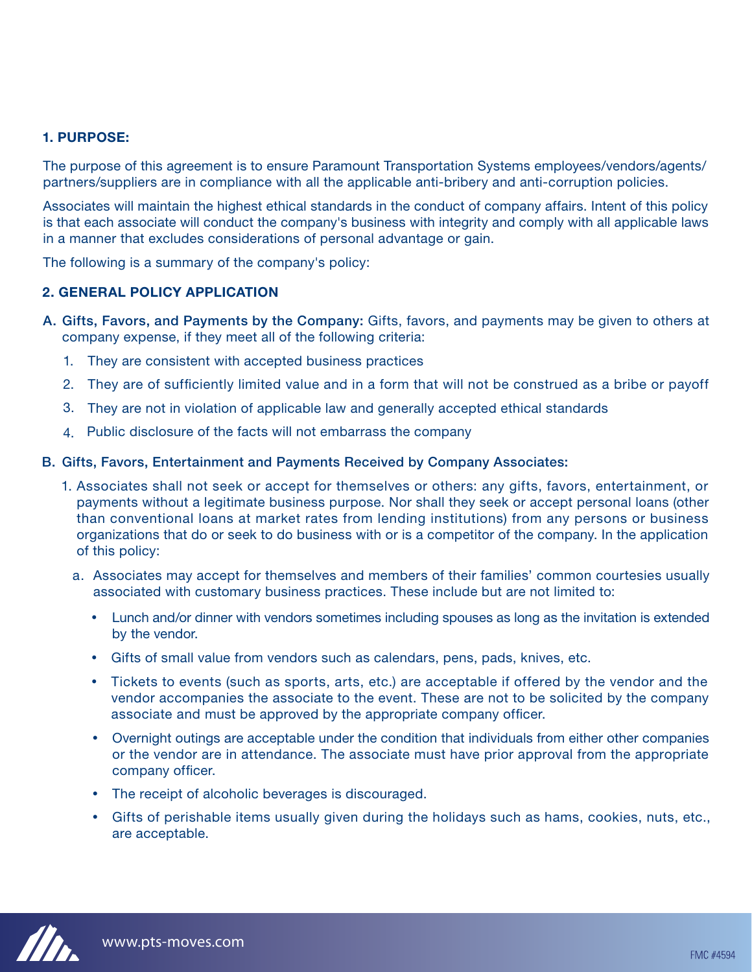## **1. PURPOSE:**

The purpose of this agreement is to ensure Paramount Transportation Systems employees/vendors/agents/ partners/suppliers are in compliance with all the applicable anti-bribery and anti-corruption policies.

Associates will maintain the highest ethical standards in the conduct of company affairs. Intent of this policy is that each associate will conduct the company's business with integrity and comply with all applicable laws in a manner that excludes considerations of personal advantage or gain.

The following is a summary of the company's policy:

### **2. GENERAL POLICY APPLICATION**

- **Gifts, Favors, and Payments by the Company:** Gifts, favors, and payments may be given to others at **A.**  company expense, if they meet all of the following criteria:
	- 1. They are consistent with accepted business practices
	- They are of sufficiently limited value and in a form that will not be construed as a bribe or payoff 2.
	- They are not in violation of applicable law and generally accepted ethical standards 3.
	- 4. Public disclosure of the facts will not embarrass the company

#### **Gifts, Favors, Entertainment and Payments Received by Company Associates: B.**

- 1. Associates shall not seek or accept for themselves or others: any gifts, favors, entertainment, or payments without a legitimate business purpose. Nor shall they seek or accept personal loans (other than conventional loans at market rates from lending institutions) from any persons or business organizations that do or seek to do business with or is a competitor of the company. In the application of this policy:
	- a. Associates may accept for themselves and members of their families' common courtesies usually associated with customary business practices. These include but are not limited to:
		- Lunch and/or dinner with vendors sometimes including spouses as long as the invitation is extended by the vendor.
		- Gifts of small value from vendors such as calendars, pens, pads, knives, etc.
		- Tickets to events (such as sports, arts, etc.) are acceptable if offered by the vendor and the vendor accompanies the associate to the event. These are not to be solicited by the company associate and must be approved by the appropriate company officer.
		- Overnight outings are acceptable under the condition that individuals from either other companies or the vendor are in attendance. The associate must have prior approval from the appropriate company officer.
		- The receipt of alcoholic beverages is discouraged.
		- Gifts of perishable items usually given during the holidays such as hams, cookies, nuts, etc., are acceptable.

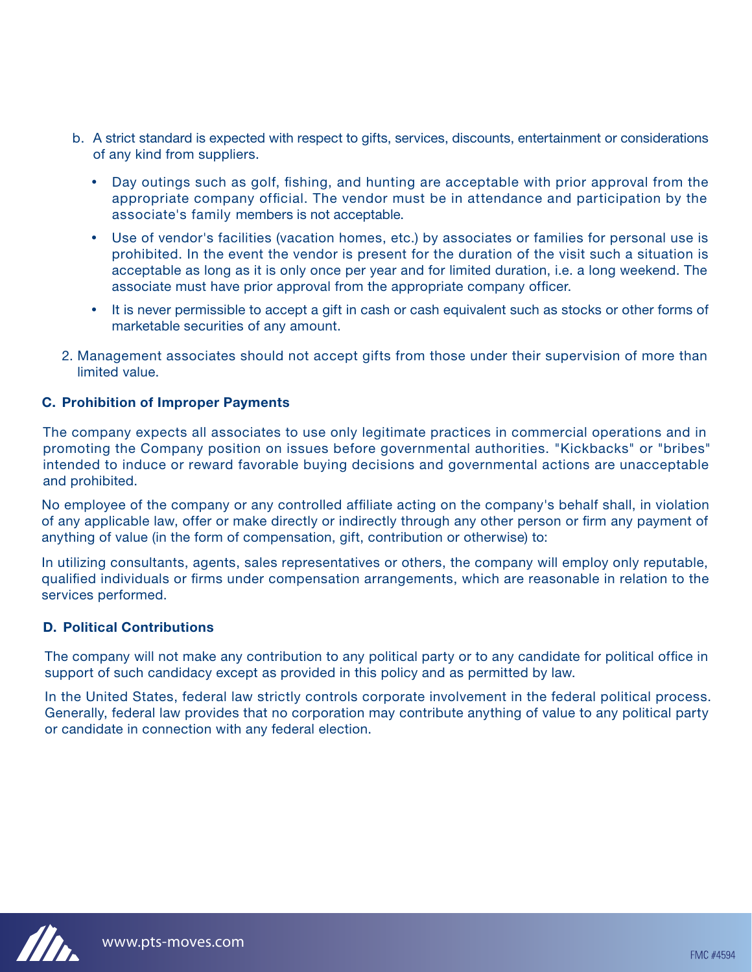- b. A strict standard is expected with respect to gifts, services, discounts, entertainment or considerations of any kind from suppliers.
	- Day outings such as golf, fishing, and hunting are acceptable with prior approval from the appropriate company official. The vendor must be in attendance and participation by the associate's family members is not acceptable.
	- Use of vendor's facilities (vacation homes, etc.) by associates or families for personal use is prohibited. In the event the vendor is present for the duration of the visit such a situation is acceptable as long as it is only once per year and for limited duration, i.e. a long weekend. The associate must have prior approval from the appropriate company officer.
	- It is never permissible to accept a gift in cash or cash equivalent such as stocks or other forms of marketable securities of any amount.
- 2. Management associates should not accept gifts from those under their supervision of more than limited value.

# **C. Prohibition of Improper Payments**

The company expects all associates to use only legitimate practices in commercial operations and in promoting the Company position on issues before governmental authorities. "Kickbacks" or "bribes" intended to induce or reward favorable buying decisions and governmental actions are unacceptable and prohibited.

No employee of the company or any controlled affiliate acting on the company's behalf shall, in violation of any applicable law, offer or make directly or indirectly through any other person or firm any payment of anything of value (in the form of compensation, gift, contribution or otherwise) to:

In utilizing consultants, agents, sales representatives or others, the company will employ only reputable, qualified individuals or firms under compensation arrangements, which are reasonable in relation to the services performed.

# **Political Contributions D.**

The company will not make any contribution to any political party or to any candidate for political office in support of such candidacy except as provided in this policy and as permitted by law.

In the United States, federal law strictly controls corporate involvement in the federal political process. Generally, federal law provides that no corporation may contribute anything of value to any political party or candidate in connection with any federal election.

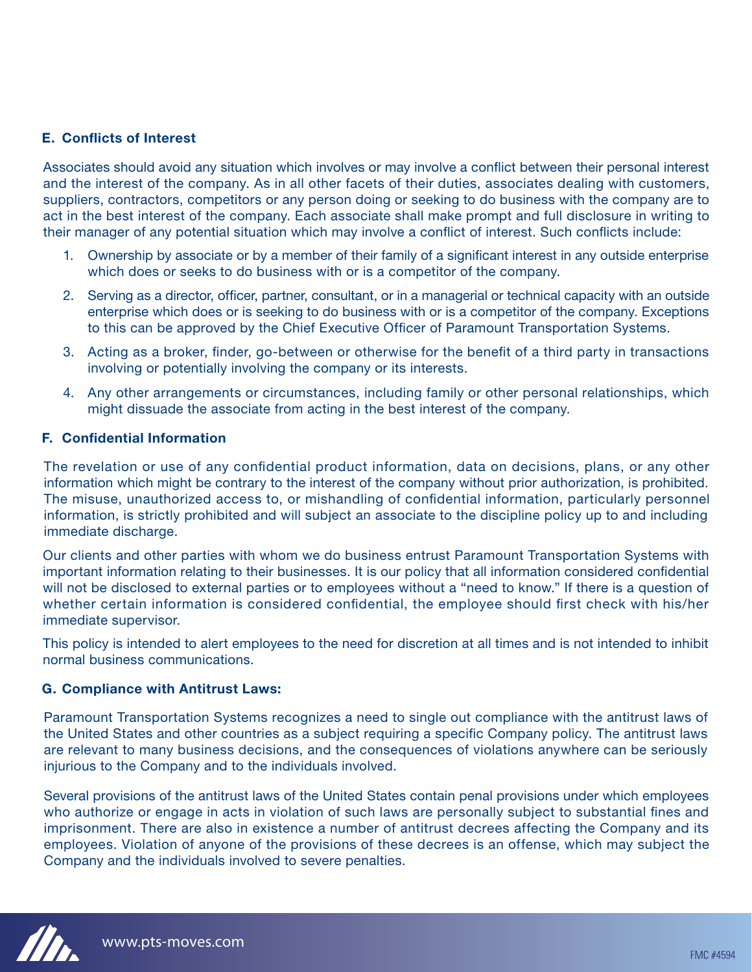# **E. Conflicts of Interest**

Associates should avoid any situation which involves or may involve a conflict between their personal interest and the interest of the company. As in all other facets of their duties, associates dealing with customers, suppliers, contractors, competitors or any person doing or seeking to do business with the company are to act in the best interest of the company. Each associate shall make prompt and full disclosure in writing to their manager of any potential situation which may involve a conflict of interest. Such conflicts include:

- Ownership by associate or by a member of their family of a significant interest in any outside enterprise 1. which does or seeks to do business with or is a competitor of the company.
- 2. Serving as a director, officer, partner, consultant, or in a managerial or technical capacity with an outside enterprise which does or is seeking to do business with or is a competitor of the company. Exceptions to this can be approved by the Chief Executive Officer of Paramount Transportation Systems.
- 3. Acting as a broker, finder, go-between or otherwise for the benefit of a third party in transactions involving or potentially involving the company or its interests.
- 4. Any other arrangements or circumstances, including family or other personal relationships, which might dissuade the associate from acting in the best interest of the company.

### **Confidential Information F.**

The revelation or use of any confidential product information, data on decisions, plans, or any other information which might be contrary to the interest of the company without prior authorization, is prohibited. The misuse, unauthorized access to, or mishandling of confidential information, particularly personnel information, is strictly prohibited and will subject an associate to the discipline policy up to and including immediate discharge.

Our clients and other parties with whom we do business entrust Paramount Transportation Systems with important information relating to their businesses. It is our policy that all information considered confidential will not be disclosed to external parties or to employees without a "need to know." If there is a question of whether certain information is considered confidential, the employee should first check with his/her immediate supervisor.

This policy is intended to alert employees to the need for discretion at all times and is not intended to inhibit normal business communications.

#### **Compliance with Antitrust Laws: G.**

Paramount Transportation Systems recognizes a need to single out compliance with the antitrust laws of the United States and other countries as a subject requiring a specific Company policy. The antitrust laws are relevant to many business decisions, and the consequences of violations anywhere can be seriously injurious to the Company and to the individuals involved.

Several provisions of the antitrust laws of the United States contain penal provisions under which employees who authorize or engage in acts in violation of such laws are personally subject to substantial fines and imprisonment. There are also in existence a number of antitrust decrees affecting the Company and its employees. Violation of anyone of the provisions of these decrees is an offense, which may subject the Company and the individuals involved to severe penalties.

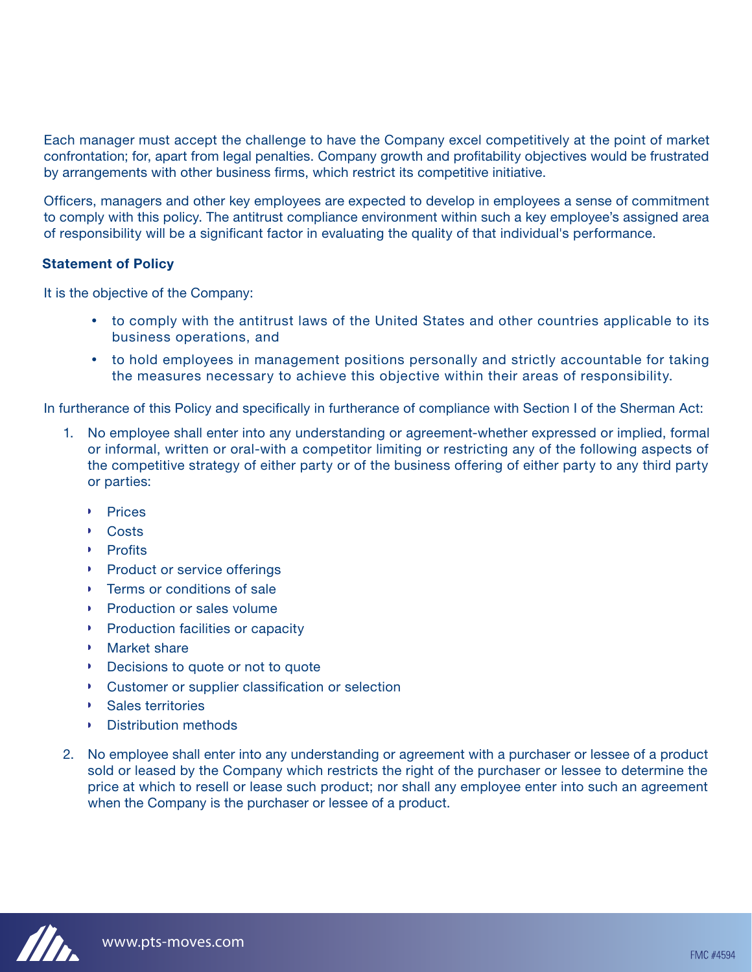Each manager must accept the challenge to have the Company excel competitively at the point of market confrontation; for, apart from legal penalties. Company growth and profitability objectives would be frustrated by arrangements with other business firms, which restrict its competitive initiative.

Officers, managers and other key employees are expected to develop in employees a sense of commitment to comply with this policy. The antitrust compliance environment within such a key employee's assigned area of responsibility will be a significant factor in evaluating the quality of that individual's performance.

### **Statement of Policy**

It is the objective of the Company:

- to comply with the antitrust laws of the United States and other countries applicable to its business operations, and
- to hold employees in management positions personally and strictly accountable for taking the measures necessary to achieve this objective within their areas of responsibility.

In furtherance of this Policy and specifically in furtherance of compliance with Section I of the Sherman Act:

- 1. No employee shall enter into any understanding or agreement-whether expressed or implied, formal or informal, written or oral-with a competitor limiting or restricting any of the following aspects of the competitive strategy of either party or of the business offering of either party to any third party or parties:
	- **Prices**
	- Costs
	- **Profits**
	- **Product or service offerings**
	- **Terms or conditions of sale**
	- **Production or sales volume**
	- **Production facilities or capacity**
	- Market share
	- **Decisions to quote or not to quote**
	- Customer or supplier classification or selection
	- Sales territories
	- **Distribution methods**
- 2. No employee shall enter into any understanding or agreement with a purchaser or lessee of a product sold or leased by the Company which restricts the right of the purchaser or lessee to determine the price at which to resell or lease such product; nor shall any employee enter into such an agreement when the Company is the purchaser or lessee of a product.

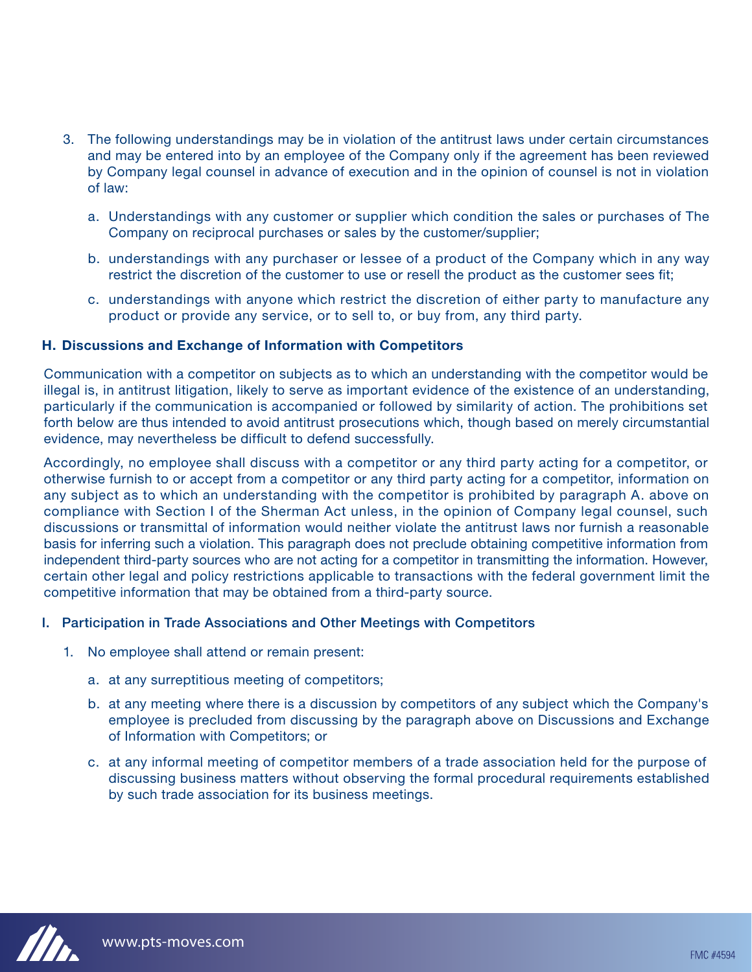- The following understandings may be in violation of the antitrust laws under certain circumstances 3. and may be entered into by an employee of the Company only if the agreement has been reviewed by Company legal counsel in advance of execution and in the opinion of counsel is not in violation of law:
	- Understandings with any customer or supplier which condition the sales or purchases of The a. Company on reciprocal purchases or sales by the customer/supplier;
	- b. understandings with any purchaser or lessee of a product of the Company which in any way restrict the discretion of the customer to use or resell the product as the customer sees fit;
	- c. understandings with anyone which restrict the discretion of either party to manufacture any product or provide any service, or to sell to, or buy from, any third party.

### **Discussions and Exchange of Information with Competitors H.**

Communication with a competitor on subjects as to which an understanding with the competitor would be illegal is, in antitrust litigation, likely to serve as important evidence of the existence of an understanding, particularly if the communication is accompanied or followed by similarity of action. The prohibitions set forth below are thus intended to avoid antitrust prosecutions which, though based on merely circumstantial evidence, may nevertheless be difficult to defend successfully.

Accordingly, no employee shall discuss with a competitor or any third party acting for a competitor, or otherwise furnish to or accept from a competitor or any third party acting for a competitor, information on any subject as to which an understanding with the competitor is prohibited by paragraph A. above on compliance with Section I of the Sherman Act unless, in the opinion of Company legal counsel, such discussions or transmittal of information would neither violate the antitrust laws nor furnish a reasonable basis for inferring such a violation. This paragraph does not preclude obtaining competitive information from independent third-party sources who are not acting for a competitor in transmitting the information. However, certain other legal and policy restrictions applicable to transactions with the federal government limit the competitive information that may be obtained from a third-party source.

# **I. Participation in Trade Associations and Other Meetings with Competitors**

- 1. No employee shall attend or remain present:
	- a. at any surreptitious meeting of competitors;
	- b. at any meeting where there is a discussion by competitors of any subject which the Company's employee is precluded from discussing by the paragraph above on Discussions and Exchange of Information with Competitors; or
	- c. at any informal meeting of competitor members of a trade association held for the purpose of discussing business matters without observing the formal procedural requirements established by such trade association for its business meetings.